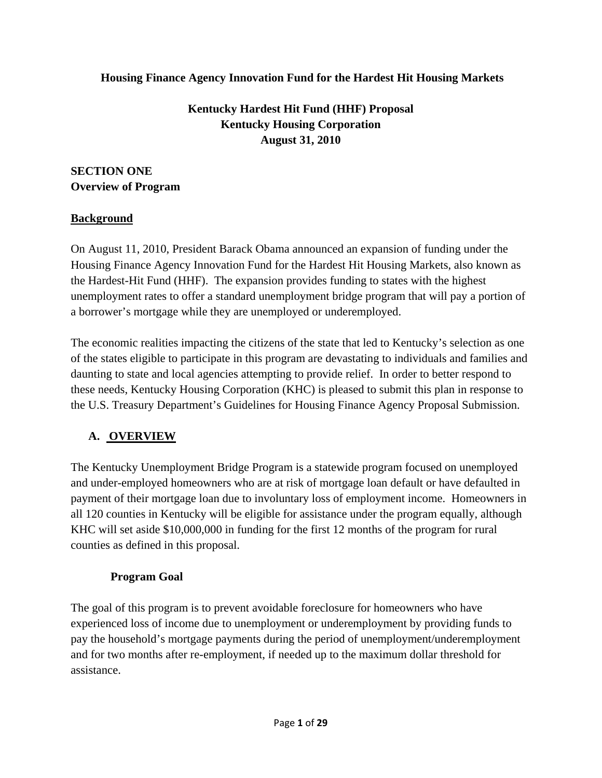#### **Housing Finance Agency Innovation Fund for the Hardest Hit Housing Markets**

## **Kentucky Hardest Hit Fund (HHF) Proposal Kentucky Housing Corporation August 31, 2010**

### **SECTION ONE Overview of Program**

#### **Background**

On August 11, 2010, President Barack Obama announced an expansion of funding under the Housing Finance Agency Innovation Fund for the Hardest Hit Housing Markets, also known as the Hardest-Hit Fund (HHF). The expansion provides funding to states with the highest unemployment rates to offer a standard unemployment bridge program that will pay a portion of a borrower's mortgage while they are unemployed or underemployed.

The economic realities impacting the citizens of the state that led to Kentucky's selection as one of the states eligible to participate in this program are devastating to individuals and families and daunting to state and local agencies attempting to provide relief. In order to better respond to these needs, Kentucky Housing Corporation (KHC) is pleased to submit this plan in response to the U.S. Treasury Department's Guidelines for Housing Finance Agency Proposal Submission.

### **A. OVERVIEW**

The Kentucky Unemployment Bridge Program is a statewide program focused on unemployed and under-employed homeowners who are at risk of mortgage loan default or have defaulted in payment of their mortgage loan due to involuntary loss of employment income. Homeowners in all 120 counties in Kentucky will be eligible for assistance under the program equally, although KHC will set aside \$10,000,000 in funding for the first 12 months of the program for rural counties as defined in this proposal.

#### **Program Goal**

The goal of this program is to prevent avoidable foreclosure for homeowners who have experienced loss of income due to unemployment or underemployment by providing funds to pay the household's mortgage payments during the period of unemployment/underemployment and for two months after re-employment, if needed up to the maximum dollar threshold for assistance.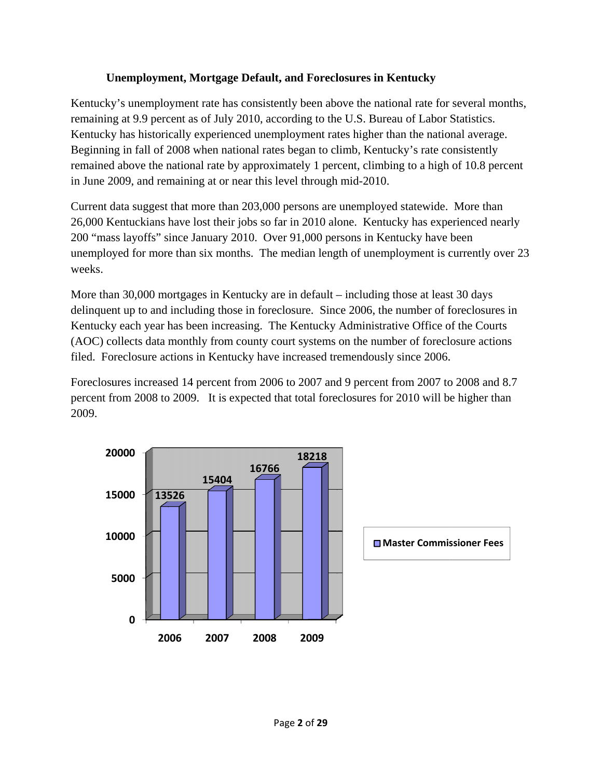#### **Unemployment, Mortgage Default, and Foreclosures in Kentucky**

Kentucky's unemployment rate has consistently been above the national rate for several months, remaining at 9.9 percent as of July 2010 2010, according to the U.S. Bureau of Labor Statistics. Kentucky has historically experienced unemployment rates higher than the national average. Beginning in fall of 2008 when national rates began to climb, Kentucky's rate consistently remained above the national rate by approximately 1 percent, climbing to a high of 10.8 percent in June 2009, and remaining at or near this level through mid-2010.

Current data suggest that more than 203,000 persons are unemployed statewide. More than 26,000 Kentuckians have lost their jobs so far in 2010 alone. Kentucky has experienced nearly 200 "mass layoffs" since January 2010. Over 91,000 persons in Kentucky have been unemployed for more than six months. The median length of unemployment is currently over 23 weeks.

More than 30,000 mortgages in Kentucky are in default – including those at least 30 days delinquent up to and including those in foreclosure. Since 2006, the number of foreclosures in Kentucky each year has been increasing. The Kentucky Administrative Office of the Courts (AOC) collects data monthly from county court systems on the number of foreclosure actions filed. Foreclosure actions in Kentucky have increased tremendously since 2006.

Foreclosures increased 14 percent from 2006 to 2007 and 9 percent from 2007 to 2008 and 8.7 percent from 2008 to 2009. It is expected that total foreclosures for 2010 will be higher than 2009.

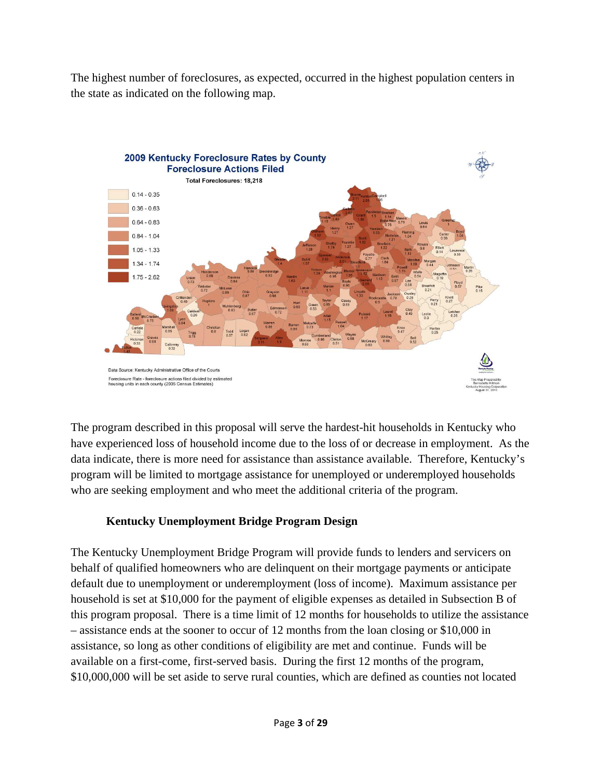The highest number of foreclosures, as expected, occurred in the highest population centers in the state as indicated on the following map.



The program described in this proposal will serve the hardest-hit households in Kentucky who have experienced loss of household income due to the loss of or decrease in employment. As the data indicate, there is more need for assistance than assistance available. Therefore, Kentucky's program will be limited to mortgage assistance for unemployed or underemployed households who are seeking employment and who meet the additional criteria of the program.

## **Kentucky Unemployment Bridge Program Design**

The Kentucky Unemployment Bridge Program will provide funds to lenders and servicers on behalf of qualified homeowners who are delinquent on their mortgage payments or anticipate default due to unemployment or underemployment (loss of income). Maximum assistance per household is set at \$10,000 for the payment of eligible expenses as detailed in Subsection B of this program proposal. There is a time limit of 12 months for households to utilize the assistance – assistance ends at the sooner to occur of 12 months from the loan closing or \$10,000 in assistance, so long as other conditions of eligibility are met and continue. Funds will be available on a first-come, first-served basis. During the first 12 months of the program, \$10,000,000 will be set aside to serve rural counties, which are defined as counties not located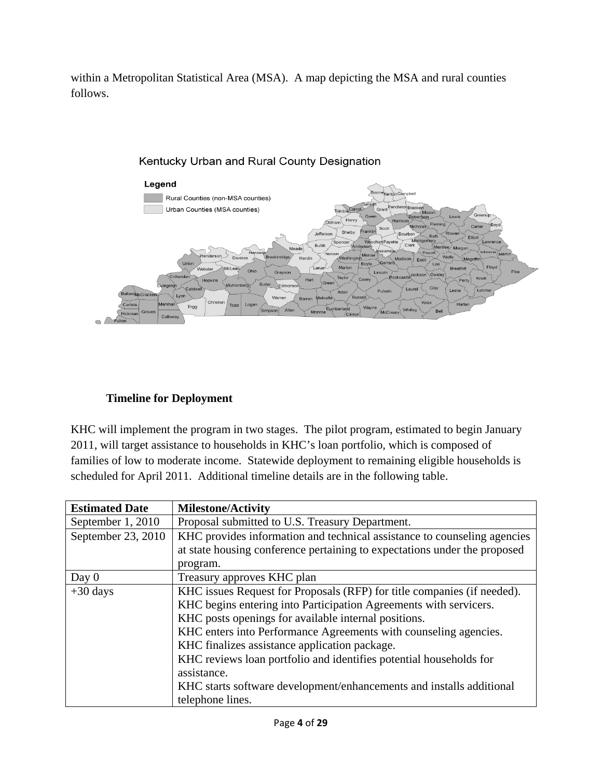within a Metropolitan Statistical Area (MSA). A map depicting the MSA and rural counties follows.



#### Kentucky Urban and Rural County Designation

#### **Timeline for Deployment**

KHC will implement the program in two stages. The pilot program, estimated to begin January 2011, will target assistance to households in KHC's loan portfolio, which is composed of families of low to moderate income. Statewide deployment to remaining eligible households is scheduled for April 2011. Additional timeline details are in the following table.

| <b>Estimated Date</b> | <b>Milestone/Activity</b>                                                 |  |
|-----------------------|---------------------------------------------------------------------------|--|
| September 1, 2010     | Proposal submitted to U.S. Treasury Department.                           |  |
| September 23, 2010    | KHC provides information and technical assistance to counseling agencies  |  |
|                       | at state housing conference pertaining to expectations under the proposed |  |
|                       | program.                                                                  |  |
| Day $0$               | Treasury approves KHC plan                                                |  |
| $+30$ days            | KHC issues Request for Proposals (RFP) for title companies (if needed).   |  |
|                       | KHC begins entering into Participation Agreements with servicers.         |  |
|                       | KHC posts openings for available internal positions.                      |  |
|                       | KHC enters into Performance Agreements with counseling agencies.          |  |
|                       | KHC finalizes assistance application package.                             |  |
|                       | KHC reviews loan portfolio and identifies potential households for        |  |
|                       | assistance.                                                               |  |
|                       | KHC starts software development/enhancements and installs additional      |  |
|                       | telephone lines.                                                          |  |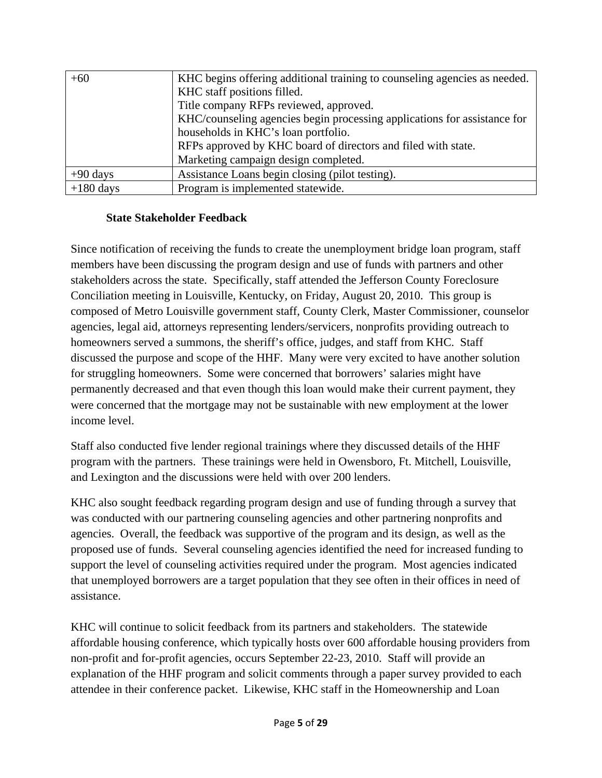| $+60$       | KHC begins offering additional training to counseling agencies as needed. |
|-------------|---------------------------------------------------------------------------|
|             | KHC staff positions filled.                                               |
|             | Title company RFPs reviewed, approved.                                    |
|             | KHC/counseling agencies begin processing applications for assistance for  |
|             | households in KHC's loan portfolio.                                       |
|             | RFPs approved by KHC board of directors and filed with state.             |
|             | Marketing campaign design completed.                                      |
| $+90$ days  | Assistance Loans begin closing (pilot testing).                           |
| $+180$ days | Program is implemented statewide.                                         |

#### **State Stakeholder Feedback**

Since notification of receiving the funds to create the unemployment bridge loan program, staff members have been discussing the program design and use of funds with partners and other stakeholders across the state. Specifically, staff attended the Jefferson County Foreclosure Conciliation meeting in Louisville, Kentucky, on Friday, August 20, 2010. This group is composed of Metro Louisville government staff, County Clerk, Master Commissioner, counselor agencies, legal aid, attorneys representing lenders/servicers, nonprofits providing outreach to homeowners served a summons, the sheriff's office, judges, and staff from KHC. Staff discussed the purpose and scope of the HHF. Many were very excited to have another solution for struggling homeowners. Some were concerned that borrowers' salaries might have permanently decreased and that even though this loan would make their current payment, they were concerned that the mortgage may not be sustainable with new employment at the lower income level.

Staff also conducted five lender regional trainings where they discussed details of the HHF program with the partners. These trainings were held in Owensboro, Ft. Mitchell, Louisville, and Lexington and the discussions were held with over 200 lenders.

KHC also sought feedback regarding program design and use of funding through a survey that was conducted with our partnering counseling agencies and other partnering nonprofits and agencies. Overall, the feedback was supportive of the program and its design, as well as the proposed use of funds. Several counseling agencies identified the need for increased funding to support the level of counseling activities required under the program. Most agencies indicated that unemployed borrowers are a target population that they see often in their offices in need of assistance.

KHC will continue to solicit feedback from its partners and stakeholders. The statewide affordable housing conference, which typically hosts over 600 affordable housing providers from non-profit and for-profit agencies, occurs September 22-23, 2010. Staff will provide an explanation of the HHF program and solicit comments through a paper survey provided to each attendee in their conference packet. Likewise, KHC staff in the Homeownership and Loan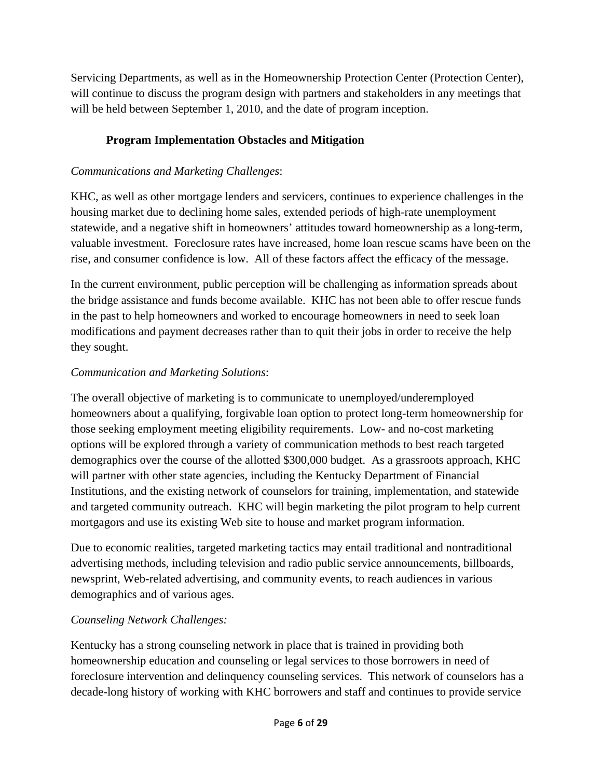Servicing Departments, as well as in the Homeownership Protection Center (Protection Center), will continue to discuss the program design with partners and stakeholders in any meetings that will be held between September 1, 2010, and the date of program inception.

## **Program Implementation Obstacles and Mitigation**

### *Communications and Marketing Challenges*:

KHC, as well as other mortgage lenders and servicers, continues to experience challenges in the housing market due to declining home sales, extended periods of high-rate unemployment statewide, and a negative shift in homeowners' attitudes toward homeownership as a long-term, valuable investment. Foreclosure rates have increased, home loan rescue scams have been on the rise, and consumer confidence is low. All of these factors affect the efficacy of the message.

In the current environment, public perception will be challenging as information spreads about the bridge assistance and funds become available. KHC has not been able to offer rescue funds in the past to help homeowners and worked to encourage homeowners in need to seek loan modifications and payment decreases rather than to quit their jobs in order to receive the help they sought.

## *Communication and Marketing Solutions*:

The overall objective of marketing is to communicate to unemployed/underemployed homeowners about a qualifying, forgivable loan option to protect long-term homeownership for those seeking employment meeting eligibility requirements. Low- and no-cost marketing options will be explored through a variety of communication methods to best reach targeted demographics over the course of the allotted \$300,000 budget. As a grassroots approach, KHC will partner with other state agencies, including the Kentucky Department of Financial Institutions, and the existing network of counselors for training, implementation, and statewide and targeted community outreach. KHC will begin marketing the pilot program to help current mortgagors and use its existing Web site to house and market program information.

Due to economic realities, targeted marketing tactics may entail traditional and nontraditional advertising methods, including television and radio public service announcements, billboards, newsprint, Web-related advertising, and community events, to reach audiences in various demographics and of various ages.

### *Counseling Network Challenges:*

Kentucky has a strong counseling network in place that is trained in providing both homeownership education and counseling or legal services to those borrowers in need of foreclosure intervention and delinquency counseling services. This network of counselors has a decade-long history of working with KHC borrowers and staff and continues to provide service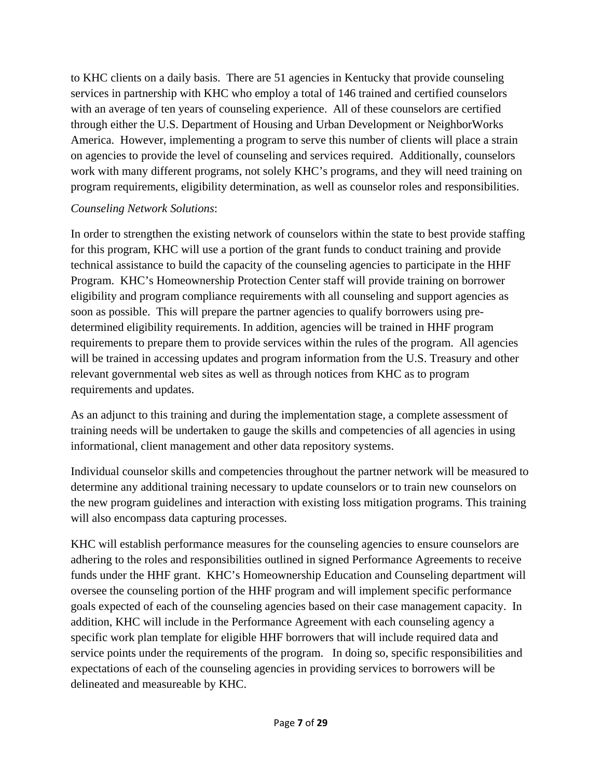to KHC clients on a daily basis. There are 51 agencies in Kentucky that provide counseling services in partnership with KHC who employ a total of 146 trained and certified counselors with an average of ten years of counseling experience. All of these counselors are certified through either the U.S. Department of Housing and Urban Development or NeighborWorks America. However, implementing a program to serve this number of clients will place a strain on agencies to provide the level of counseling and services required. Additionally, counselors work with many different programs, not solely KHC's programs, and they will need training on program requirements, eligibility determination, as well as counselor roles and responsibilities.

#### *Counseling Network Solutions*:

In order to strengthen the existing network of counselors within the state to best provide staffing for this program, KHC will use a portion of the grant funds to conduct training and provide technical assistance to build the capacity of the counseling agencies to participate in the HHF Program. KHC's Homeownership Protection Center staff will provide training on borrower eligibility and program compliance requirements with all counseling and support agencies as soon as possible. This will prepare the partner agencies to qualify borrowers using predetermined eligibility requirements. In addition, agencies will be trained in HHF program requirements to prepare them to provide services within the rules of the program. All agencies will be trained in accessing updates and program information from the U.S. Treasury and other relevant governmental web sites as well as through notices from KHC as to program requirements and updates.

As an adjunct to this training and during the implementation stage, a complete assessment of training needs will be undertaken to gauge the skills and competencies of all agencies in using informational, client management and other data repository systems.

Individual counselor skills and competencies throughout the partner network will be measured to determine any additional training necessary to update counselors or to train new counselors on the new program guidelines and interaction with existing loss mitigation programs. This training will also encompass data capturing processes.

KHC will establish performance measures for the counseling agencies to ensure counselors are adhering to the roles and responsibilities outlined in signed Performance Agreements to receive funds under the HHF grant. KHC's Homeownership Education and Counseling department will oversee the counseling portion of the HHF program and will implement specific performance goals expected of each of the counseling agencies based on their case management capacity. In addition, KHC will include in the Performance Agreement with each counseling agency a specific work plan template for eligible HHF borrowers that will include required data and service points under the requirements of the program. In doing so, specific responsibilities and expectations of each of the counseling agencies in providing services to borrowers will be delineated and measureable by KHC.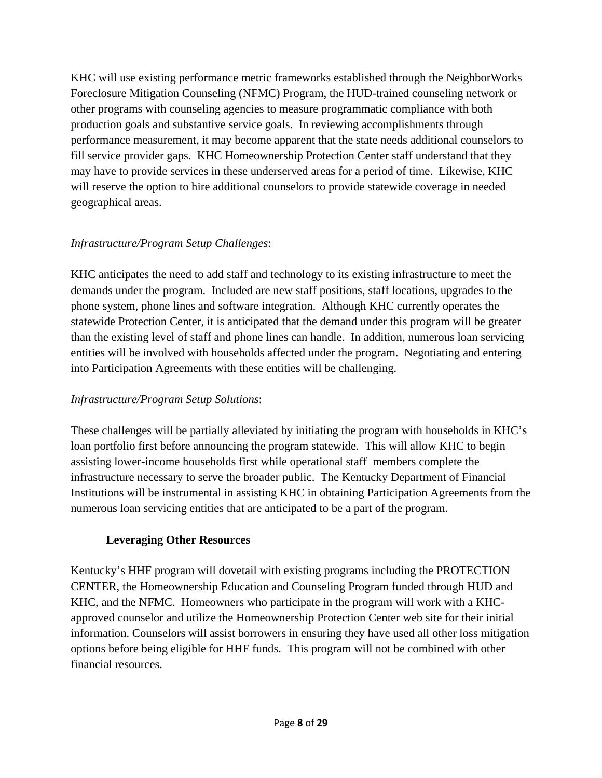KHC will use existing performance metric frameworks established through the NeighborWorks Foreclosure Mitigation Counseling (NFMC) Program, the HUD-trained counseling network or other programs with counseling agencies to measure programmatic compliance with both production goals and substantive service goals. In reviewing accomplishments through performance measurement, it may become apparent that the state needs additional counselors to fill service provider gaps. KHC Homeownership Protection Center staff understand that they may have to provide services in these underserved areas for a period of time. Likewise, KHC will reserve the option to hire additional counselors to provide statewide coverage in needed geographical areas.

### *Infrastructure/Program Setup Challenges*:

KHC anticipates the need to add staff and technology to its existing infrastructure to meet the demands under the program. Included are new staff positions, staff locations, upgrades to the phone system, phone lines and software integration. Although KHC currently operates the statewide Protection Center, it is anticipated that the demand under this program will be greater than the existing level of staff and phone lines can handle. In addition, numerous loan servicing entities will be involved with households affected under the program. Negotiating and entering into Participation Agreements with these entities will be challenging.

### *Infrastructure/Program Setup Solutions*:

These challenges will be partially alleviated by initiating the program with households in KHC's loan portfolio first before announcing the program statewide. This will allow KHC to begin assisting lower-income households first while operational staff members complete the infrastructure necessary to serve the broader public. The Kentucky Department of Financial Institutions will be instrumental in assisting KHC in obtaining Participation Agreements from the numerous loan servicing entities that are anticipated to be a part of the program.

### **Leveraging Other Resources**

Kentucky's HHF program will dovetail with existing programs including the PROTECTION CENTER, the Homeownership Education and Counseling Program funded through HUD and KHC, and the NFMC. Homeowners who participate in the program will work with a KHCapproved counselor and utilize the Homeownership Protection Center web site for their initial information. Counselors will assist borrowers in ensuring they have used all other loss mitigation options before being eligible for HHF funds. This program will not be combined with other financial resources.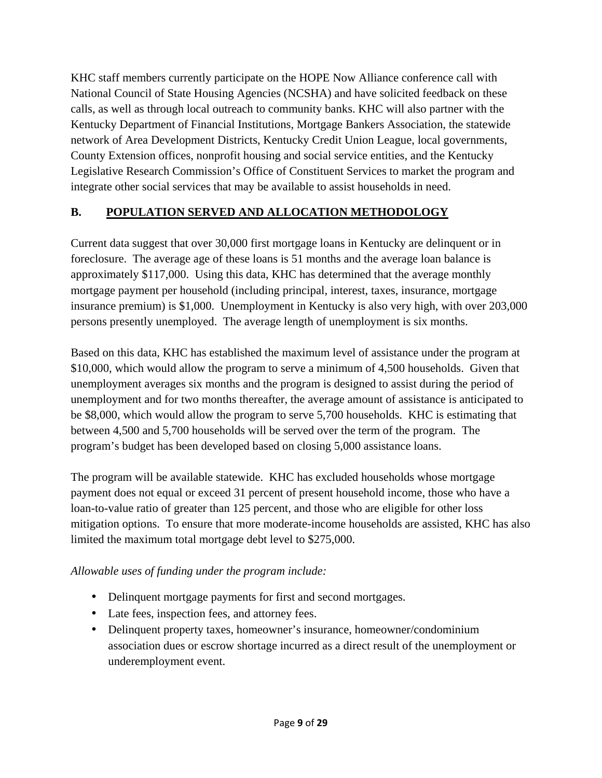KHC staff members currently participate on the HOPE Now Alliance conference call with National Council of State Housing Agencies (NCSHA) and have solicited feedback on these calls, as well as through local outreach to community banks. KHC will also partner with the Kentucky Department of Financial Institutions, Mortgage Bankers Association, the statewide network of Area Development Districts, Kentucky Credit Union League, local governments, County Extension offices, nonprofit housing and social service entities, and the Kentucky Legislative Research Commission's Office of Constituent Services to market the program and integrate other social services that may be available to assist households in need.

## **B. POPULATION SERVED AND ALLOCATION METHODOLOGY**

Current data suggest that over 30,000 first mortgage loans in Kentucky are delinquent or in foreclosure. The average age of these loans is 51 months and the average loan balance is approximately \$117,000. Using this data, KHC has determined that the average monthly mortgage payment per household (including principal, interest, taxes, insurance, mortgage insurance premium) is \$1,000. Unemployment in Kentucky is also very high, with over 203,000 persons presently unemployed. The average length of unemployment is six months.

Based on this data, KHC has established the maximum level of assistance under the program at \$10,000, which would allow the program to serve a minimum of 4,500 households. Given that unemployment averages six months and the program is designed to assist during the period of unemployment and for two months thereafter, the average amount of assistance is anticipated to be \$8,000, which would allow the program to serve 5,700 households. KHC is estimating that between 4,500 and 5,700 households will be served over the term of the program. The program's budget has been developed based on closing 5,000 assistance loans.

The program will be available statewide. KHC has excluded households whose mortgage payment does not equal or exceed 31 percent of present household income, those who have a loan-to-value ratio of greater than 125 percent, and those who are eligible for other loss mitigation options. To ensure that more moderate-income households are assisted, KHC has also limited the maximum total mortgage debt level to \$275,000.

## *Allowable uses of funding under the program include:*

- Delinquent mortgage payments for first and second mortgages.
- Late fees, inspection fees, and attorney fees.
- Delinquent property taxes, homeowner's insurance, homeowner/condominium association dues or escrow shortage incurred as a direct result of the unemployment or underemployment event.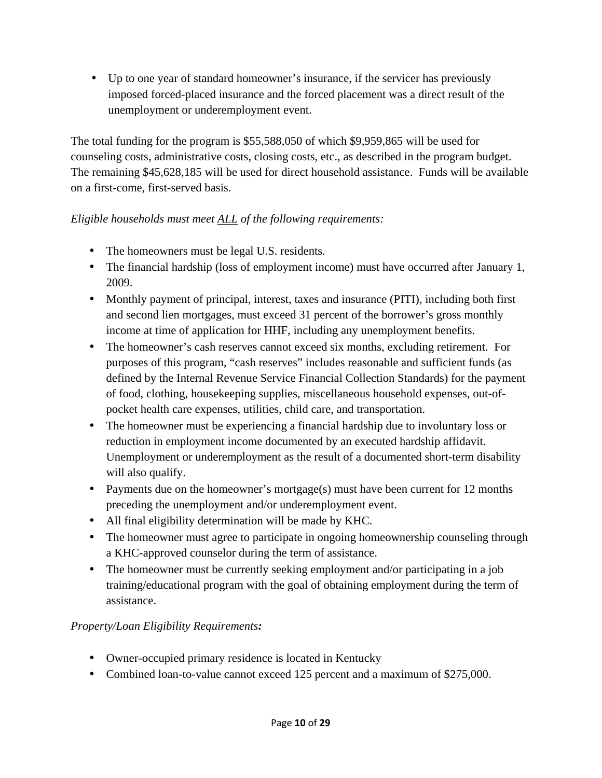• Up to one year of standard homeowner's insurance, if the servicer has previously imposed forced-placed insurance and the forced placement was a direct result of the unemployment or underemployment event.

The total funding for the program is \$55,588,050 of which \$9,959,865 will be used for counseling costs, administrative costs, closing costs, etc., as described in the program budget. The remaining \$45,628,185 will be used for direct household assistance. Funds will be available on a first-come, first-served basis.

### *Eligible households must meet ALL of the following requirements:*

- The homeowners must be legal U.S. residents.
- The financial hardship (loss of employment income) must have occurred after January 1, 2009.
- Monthly payment of principal, interest, taxes and insurance (PITI), including both first and second lien mortgages, must exceed 31 percent of the borrower's gross monthly income at time of application for HHF, including any unemployment benefits.
- The homeowner's cash reserves cannot exceed six months, excluding retirement. For purposes of this program, "cash reserves" includes reasonable and sufficient funds (as defined by the Internal Revenue Service Financial Collection Standards) for the payment of food, clothing, housekeeping supplies, miscellaneous household expenses, out-ofpocket health care expenses, utilities, child care, and transportation.
- The homeowner must be experiencing a financial hardship due to involuntary loss or reduction in employment income documented by an executed hardship affidavit. Unemployment or underemployment as the result of a documented short-term disability will also qualify.
- Payments due on the homeowner's mortgage(s) must have been current for 12 months preceding the unemployment and/or underemployment event.
- All final eligibility determination will be made by KHC.
- The homeowner must agree to participate in ongoing homeownership counseling through a KHC-approved counselor during the term of assistance.
- The homeowner must be currently seeking employment and/or participating in a job training/educational program with the goal of obtaining employment during the term of assistance.

## *Property/Loan Eligibility Requirements:*

- Owner-occupied primary residence is located in Kentucky
- Combined loan-to-value cannot exceed 125 percent and a maximum of \$275,000.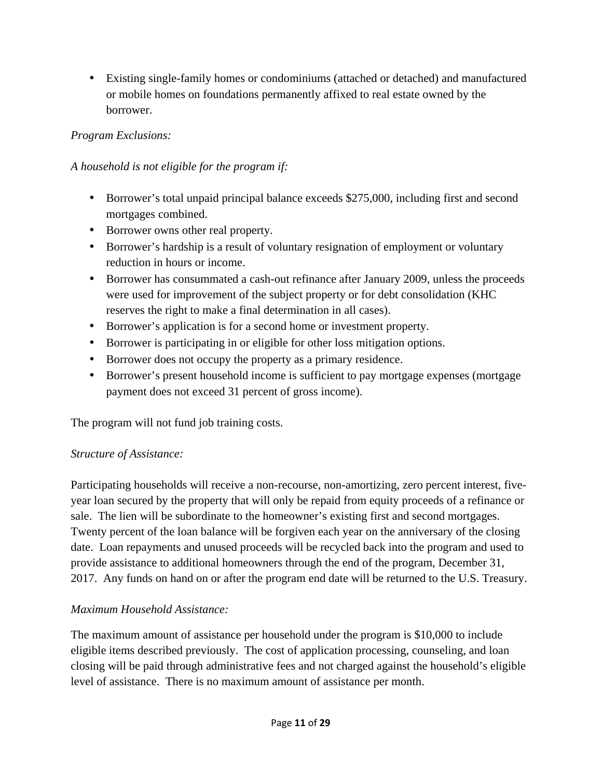• Existing single-family homes or condominiums (attached or detached) and manufactured or mobile homes on foundations permanently affixed to real estate owned by the borrower.

### *Program Exclusions:*

### *A household is not eligible for the program if:*

- Borrower's total unpaid principal balance exceeds \$275,000, including first and second mortgages combined.
- Borrower owns other real property.
- Borrower's hardship is a result of voluntary resignation of employment or voluntary reduction in hours or income.
- Borrower has consummated a cash-out refinance after January 2009, unless the proceeds were used for improvement of the subject property or for debt consolidation (KHC reserves the right to make a final determination in all cases).
- Borrower's application is for a second home or investment property.
- Borrower is participating in or eligible for other loss mitigation options.
- Borrower does not occupy the property as a primary residence.
- Borrower's present household income is sufficient to pay mortgage expenses (mortgage payment does not exceed 31 percent of gross income).

The program will not fund job training costs.

### *Structure of Assistance:*

Participating households will receive a non-recourse, non-amortizing, zero percent interest, fiveyear loan secured by the property that will only be repaid from equity proceeds of a refinance or sale. The lien will be subordinate to the homeowner's existing first and second mortgages. Twenty percent of the loan balance will be forgiven each year on the anniversary of the closing date. Loan repayments and unused proceeds will be recycled back into the program and used to provide assistance to additional homeowners through the end of the program, December 31, 2017. Any funds on hand on or after the program end date will be returned to the U.S. Treasury.

### *Maximum Household Assistance:*

The maximum amount of assistance per household under the program is \$10,000 to include eligible items described previously. The cost of application processing, counseling, and loan closing will be paid through administrative fees and not charged against the household's eligible level of assistance. There is no maximum amount of assistance per month.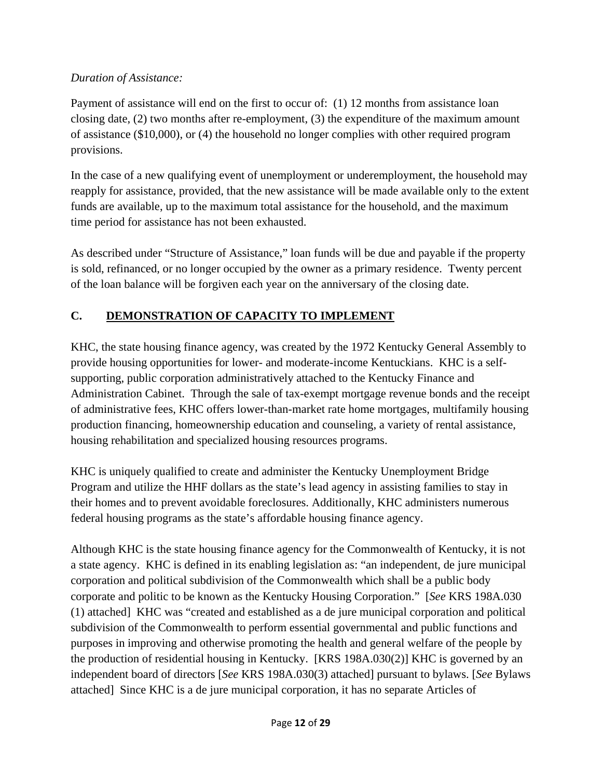## *Duration of Assistance:*

Payment of assistance will end on the first to occur of: (1) 12 months from assistance loan closing date, (2) two months after re-employment, (3) the expenditure of the maximum amount of assistance (\$10,000), or (4) the household no longer complies with other required program provisions.

In the case of a new qualifying event of unemployment or underemployment, the household may reapply for assistance, provided, that the new assistance will be made available only to the extent funds are available, up to the maximum total assistance for the household, and the maximum time period for assistance has not been exhausted.

As described under "Structure of Assistance," loan funds will be due and payable if the property is sold, refinanced, or no longer occupied by the owner as a primary residence. Twenty percent of the loan balance will be forgiven each year on the anniversary of the closing date.

# **C. DEMONSTRATION OF CAPACITY TO IMPLEMENT**

KHC, the state housing finance agency, was created by the 1972 Kentucky General Assembly to provide housing opportunities for lower- and moderate-income Kentuckians. KHC is a selfsupporting, public corporation administratively attached to the Kentucky Finance and Administration Cabinet. Through the sale of tax-exempt mortgage revenue bonds and the receipt of administrative fees, KHC offers lower-than-market rate home mortgages, multifamily housing production financing, homeownership education and counseling, a variety of rental assistance, housing rehabilitation and specialized housing resources programs.

KHC is uniquely qualified to create and administer the Kentucky Unemployment Bridge Program and utilize the HHF dollars as the state's lead agency in assisting families to stay in their homes and to prevent avoidable foreclosures. Additionally, KHC administers numerous federal housing programs as the state's affordable housing finance agency.

Although KHC is the state housing finance agency for the Commonwealth of Kentucky, it is not a state agency. KHC is defined in its enabling legislation as: "an independent, de jure municipal corporation and political subdivision of the Commonwealth which shall be a public body corporate and politic to be known as the Kentucky Housing Corporation." [*See* KRS 198A.030 (1) attached] KHC was "created and established as a de jure municipal corporation and political subdivision of the Commonwealth to perform essential governmental and public functions and purposes in improving and otherwise promoting the health and general welfare of the people by the production of residential housing in Kentucky. [KRS 198A.030(2)] KHC is governed by an independent board of directors [*See* KRS 198A.030(3) attached] pursuant to bylaws. [*See* Bylaws attached] Since KHC is a de jure municipal corporation, it has no separate Articles of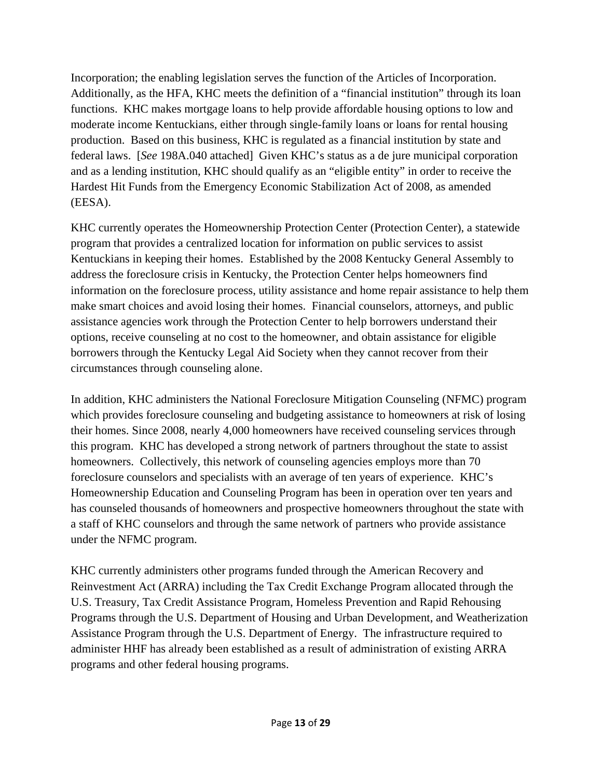Incorporation; the enabling legislation serves the function of the Articles of Incorporation. Additionally, as the HFA, KHC meets the definition of a "financial institution" through its loan functions. KHC makes mortgage loans to help provide affordable housing options to low and moderate income Kentuckians, either through single-family loans or loans for rental housing production. Based on this business, KHC is regulated as a financial institution by state and federal laws. [*See* 198A.040 attached] Given KHC's status as a de jure municipal corporation and as a lending institution, KHC should qualify as an "eligible entity" in order to receive the Hardest Hit Funds from the Emergency Economic Stabilization Act of 2008, as amended (EESA).

KHC currently operates the Homeownership Protection Center (Protection Center), a statewide program that provides a centralized location for information on public services to assist Kentuckians in keeping their homes. Established by the 2008 Kentucky General Assembly to address the foreclosure crisis in Kentucky, the Protection Center helps homeowners find information on the foreclosure process, utility assistance and home repair assistance to help them make smart choices and avoid losing their homes. Financial counselors, attorneys, and public assistance agencies work through the Protection Center to help borrowers understand their options, receive counseling at no cost to the homeowner, and obtain assistance for eligible borrowers through the Kentucky Legal Aid Society when they cannot recover from their circumstances through counseling alone.

In addition, KHC administers the National Foreclosure Mitigation Counseling (NFMC) program which provides foreclosure counseling and budgeting assistance to homeowners at risk of losing their homes. Since 2008, nearly 4,000 homeowners have received counseling services through this program. KHC has developed a strong network of partners throughout the state to assist homeowners. Collectively, this network of counseling agencies employs more than 70 foreclosure counselors and specialists with an average of ten years of experience. KHC's Homeownership Education and Counseling Program has been in operation over ten years and has counseled thousands of homeowners and prospective homeowners throughout the state with a staff of KHC counselors and through the same network of partners who provide assistance under the NFMC program.

KHC currently administers other programs funded through the American Recovery and Reinvestment Act (ARRA) including the Tax Credit Exchange Program allocated through the U.S. Treasury, Tax Credit Assistance Program, Homeless Prevention and Rapid Rehousing Programs through the U.S. Department of Housing and Urban Development, and Weatherization Assistance Program through the U.S. Department of Energy. The infrastructure required to administer HHF has already been established as a result of administration of existing ARRA programs and other federal housing programs.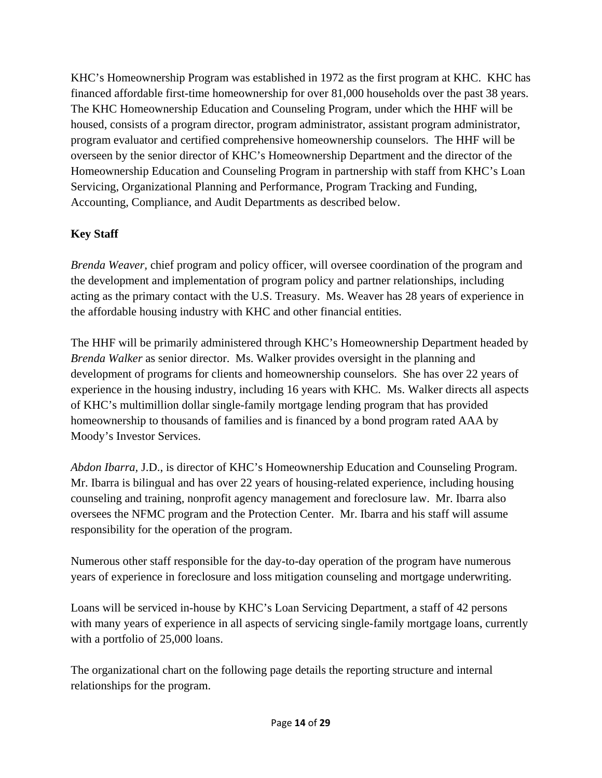KHC's Homeownership Program was established in 1972 as the first program at KHC. KHC has financed affordable first-time homeownership for over 81,000 households over the past 38 years. The KHC Homeownership Education and Counseling Program, under which the HHF will be housed, consists of a program director, program administrator, assistant program administrator, program evaluator and certified comprehensive homeownership counselors. The HHF will be overseen by the senior director of KHC's Homeownership Department and the director of the Homeownership Education and Counseling Program in partnership with staff from KHC's Loan Servicing, Organizational Planning and Performance, Program Tracking and Funding, Accounting, Compliance, and Audit Departments as described below.

## **Key Staff**

*Brenda Weaver,* chief program and policy officer*,* will oversee coordination of the program and the development and implementation of program policy and partner relationships, including acting as the primary contact with the U.S. Treasury. Ms. Weaver has 28 years of experience in the affordable housing industry with KHC and other financial entities.

The HHF will be primarily administered through KHC's Homeownership Department headed by *Brenda Walker* as senior director. Ms. Walker provides oversight in the planning and development of programs for clients and homeownership counselors. She has over 22 years of experience in the housing industry, including 16 years with KHC. Ms. Walker directs all aspects of KHC's multimillion dollar single-family mortgage lending program that has provided homeownership to thousands of families and is financed by a bond program rated AAA by Moody's Investor Services.

*Abdon Ibarra,* J.D., is director of KHC's Homeownership Education and Counseling Program. Mr. Ibarra is bilingual and has over 22 years of housing-related experience, including housing counseling and training, nonprofit agency management and foreclosure law. Mr. Ibarra also oversees the NFMC program and the Protection Center. Mr. Ibarra and his staff will assume responsibility for the operation of the program.

Numerous other staff responsible for the day-to-day operation of the program have numerous years of experience in foreclosure and loss mitigation counseling and mortgage underwriting.

Loans will be serviced in-house by KHC's Loan Servicing Department, a staff of 42 persons with many years of experience in all aspects of servicing single-family mortgage loans, currently with a portfolio of 25,000 loans.

The organizational chart on the following page details the reporting structure and internal relationships for the program.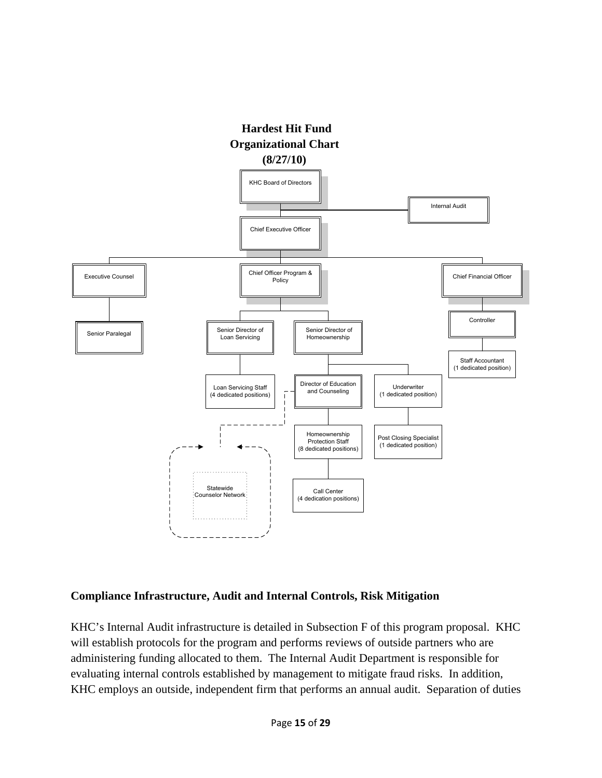

#### **Compliance Infrastructure, Audit and Internal Controls, Risk Mitigation**

KHC's Internal Audit infrastructure is detailed in Subsection F of this program proposal. KHC will establish protocols for the program and performs reviews of outside partners who are administering funding allocated to them. The Internal Audit Department is responsible for evaluating internal controls established by management to mitigate fraud risks. In addition, KHC employs an outside, independent firm that performs an annual audit. Separation of duties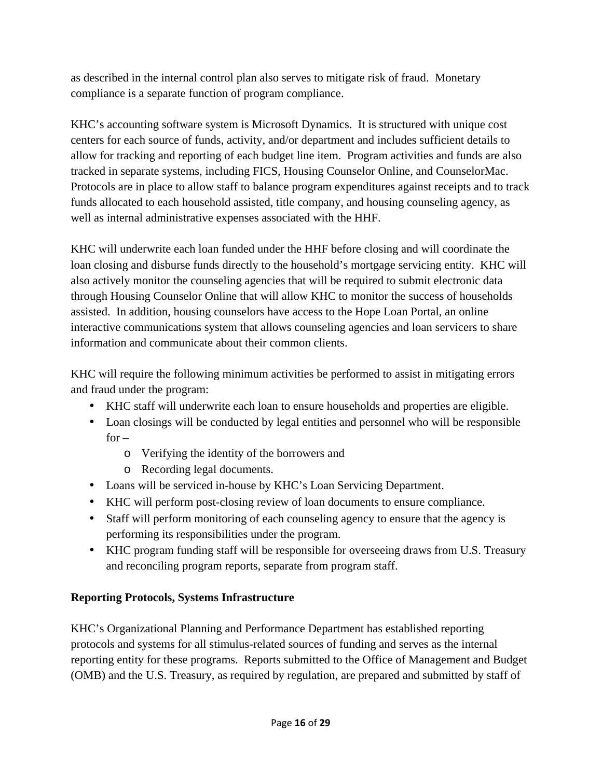as described in the internal control plan also serves to mitigate risk of fraud. Monetary compliance is a separate function of program compliance.

KHC's accounting software system is Microsoft Dynamics. It is structured with unique cost centers for each source of funds, activity, and/or department and includes sufficient details to allow for tracking and reporting of each budget line item. Program activities and funds are also tracked in separate systems, including FICS, Housing Counselor Online, and CounselorMac. Protocols are in place to allow staff to balance program expenditures against receipts and to track funds allocated to each household assisted, title company, and housing counseling agency, as well as internal administrative expenses associated with the HHF.

KHC will underwrite each loan funded under the HHF before closing and will coordinate the loan closing and disburse funds directly to the household's mortgage servicing entity. KHC will also actively monitor the counseling agencies that will be required to submit electronic data through Housing Counselor Online that will allow KHC to monitor the success of households assisted. In addition, housing counselors have access to the Hope Loan Portal, an online interactive communications system that allows counseling agencies and loan servicers to share information and communicate about their common clients.

KHC will require the following minimum activities be performed to assist in mitigating errors and fraud under the program:

- KHC staff will underwrite each loan to ensure households and properties are eligible.
- Loan closings will be conducted by legal entities and personnel who will be responsible  $for$ 
	- o Verifying the identity of the borrowers and
	- o Recording legal documents.
- Loans will be serviced in-house by KHC's Loan Servicing Department.
- KHC will perform post-closing review of loan documents to ensure compliance.
- Staff will perform monitoring of each counseling agency to ensure that the agency is performing its responsibilities under the program.
- KHC program funding staff will be responsible for overseeing draws from U.S. Treasury and reconciling program reports, separate from program staff.

## **Reporting Protocols, Systems Infrastructure**

KHC's Organizational Planning and Performance Department has established reporting protocols and systems for all stimulus-related sources of funding and serves as the internal reporting entity for these programs. Reports submitted to the Office of Management and Budget (OMB) and the U.S. Treasury, as required by regulation, are prepared and submitted by staff of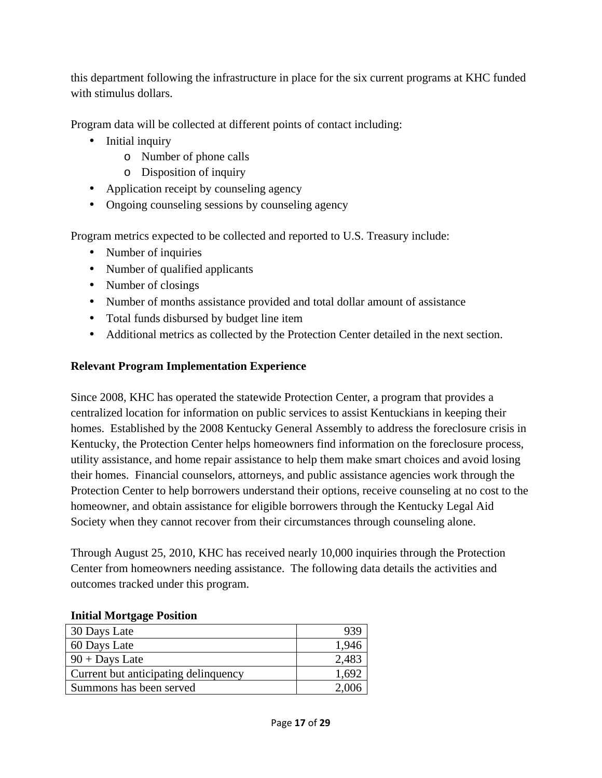this department following the infrastructure in place for the six current programs at KHC funded with stimulus dollars.

Program data will be collected at different points of contact including:

- Initial inquiry
	- o Number of phone calls
	- o Disposition of inquiry
- Application receipt by counseling agency
- Ongoing counseling sessions by counseling agency

Program metrics expected to be collected and reported to U.S. Treasury include:

- Number of inquiries
- Number of qualified applicants
- Number of closings
- Number of months assistance provided and total dollar amount of assistance
- Total funds disbursed by budget line item
- Additional metrics as collected by the Protection Center detailed in the next section.

### **Relevant Program Implementation Experience**

Since 2008, KHC has operated the statewide Protection Center, a program that provides a centralized location for information on public services to assist Kentuckians in keeping their homes. Established by the 2008 Kentucky General Assembly to address the foreclosure crisis in Kentucky, the Protection Center helps homeowners find information on the foreclosure process, utility assistance, and home repair assistance to help them make smart choices and avoid losing their homes. Financial counselors, attorneys, and public assistance agencies work through the Protection Center to help borrowers understand their options, receive counseling at no cost to the homeowner, and obtain assistance for eligible borrowers through the Kentucky Legal Aid Society when they cannot recover from their circumstances through counseling alone.

Through August 25, 2010, KHC has received nearly 10,000 inquiries through the Protection Center from homeowners needing assistance. The following data details the activities and outcomes tracked under this program.

| 30 Days Late                         |       |
|--------------------------------------|-------|
| 60 Days Late                         | 1,946 |
| $90 +$ Days Late                     | 2,483 |
| Current but anticipating delinquency | 1,692 |
| Summons has been served              | 2,006 |

#### **Initial Mortgage Position**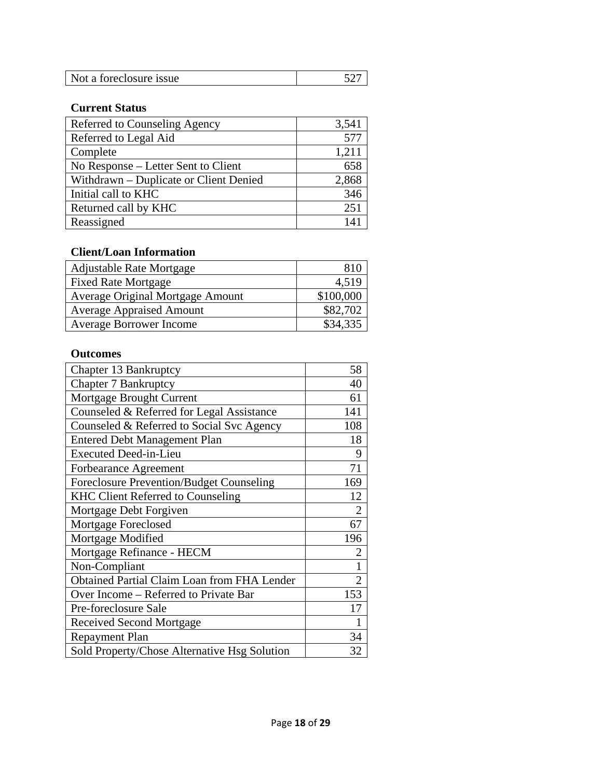| Not a foreclosure issue |  |
|-------------------------|--|

### **Current Status**

| Referred to Counseling Agency          | 3,541 |
|----------------------------------------|-------|
| Referred to Legal Aid                  | 577   |
| Complete                               | 1,211 |
| No Response – Letter Sent to Client    | 658   |
| Withdrawn - Duplicate or Client Denied | 2,868 |
| Initial call to KHC                    | 346   |
| Returned call by KHC                   | 251   |
| Reassigned                             | 141   |

## **Client/Loan Information**

| <b>Adjustable Rate Mortgage</b>  | 810       |
|----------------------------------|-----------|
| <b>Fixed Rate Mortgage</b>       | 4,519     |
| Average Original Mortgage Amount | \$100,000 |
| <b>Average Appraised Amount</b>  | \$82,702  |
| <b>Average Borrower Income</b>   | \$34,335  |

#### **Outcomes**

| Chapter 13 Bankruptcy                              | 58             |
|----------------------------------------------------|----------------|
| <b>Chapter 7 Bankruptcy</b>                        | 40             |
| Mortgage Brought Current                           | 61             |
| Counseled & Referred for Legal Assistance          | 141            |
| Counseled & Referred to Social Svc Agency          | 108            |
| <b>Entered Debt Management Plan</b>                | 18             |
| <b>Executed Deed-in-Lieu</b>                       | 9              |
| Forbearance Agreement                              | 71             |
| Foreclosure Prevention/Budget Counseling           | 169            |
| <b>KHC Client Referred to Counseling</b>           | 12             |
| Mortgage Debt Forgiven                             | $\overline{2}$ |
| Mortgage Foreclosed                                | 67             |
| Mortgage Modified                                  | 196            |
| Mortgage Refinance - HECM                          | $\overline{2}$ |
| Non-Compliant                                      | $\mathbf 1$    |
| <b>Obtained Partial Claim Loan from FHA Lender</b> | $\overline{2}$ |
| Over Income – Referred to Private Bar              | 153            |
| Pre-foreclosure Sale                               | 17             |
| Received Second Mortgage                           | 1              |
| Repayment Plan                                     | 34             |
| Sold Property/Chose Alternative Hsg Solution       | 32             |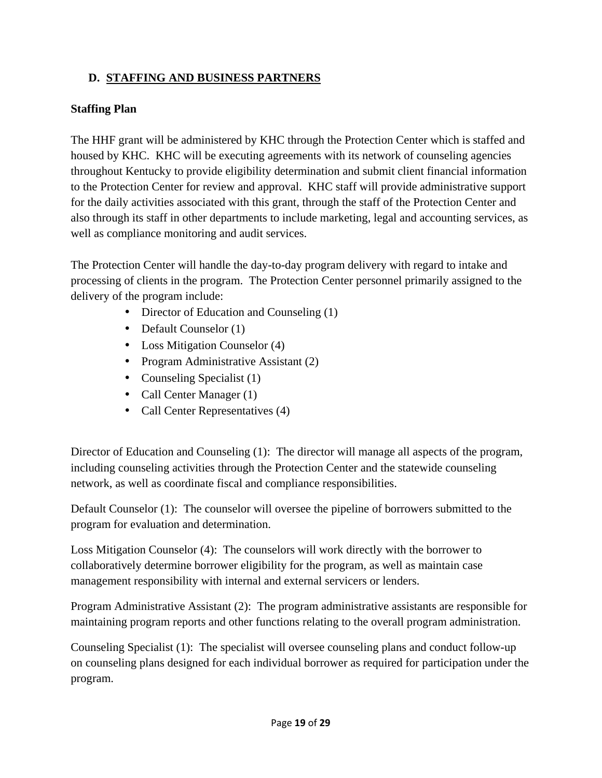## **D. STAFFING AND BUSINESS PARTNERS**

#### **Staffing Plan**

The HHF grant will be administered by KHC through the Protection Center which is staffed and housed by KHC. KHC will be executing agreements with its network of counseling agencies throughout Kentucky to provide eligibility determination and submit client financial information to the Protection Center for review and approval. KHC staff will provide administrative support for the daily activities associated with this grant, through the staff of the Protection Center and also through its staff in other departments to include marketing, legal and accounting services, as well as compliance monitoring and audit services.

The Protection Center will handle the day-to-day program delivery with regard to intake and processing of clients in the program. The Protection Center personnel primarily assigned to the delivery of the program include:

- Director of Education and Counseling (1)
- Default Counselor (1)
- Loss Mitigation Counselor (4)
- Program Administrative Assistant (2)
- Counseling Specialist (1)
- Call Center Manager (1)
- Call Center Representatives (4)

Director of Education and Counseling (1): The director will manage all aspects of the program, including counseling activities through the Protection Center and the statewide counseling network, as well as coordinate fiscal and compliance responsibilities.

Default Counselor (1): The counselor will oversee the pipeline of borrowers submitted to the program for evaluation and determination.

Loss Mitigation Counselor (4): The counselors will work directly with the borrower to collaboratively determine borrower eligibility for the program, as well as maintain case management responsibility with internal and external servicers or lenders.

Program Administrative Assistant (2): The program administrative assistants are responsible for maintaining program reports and other functions relating to the overall program administration.

Counseling Specialist (1): The specialist will oversee counseling plans and conduct follow-up on counseling plans designed for each individual borrower as required for participation under the program.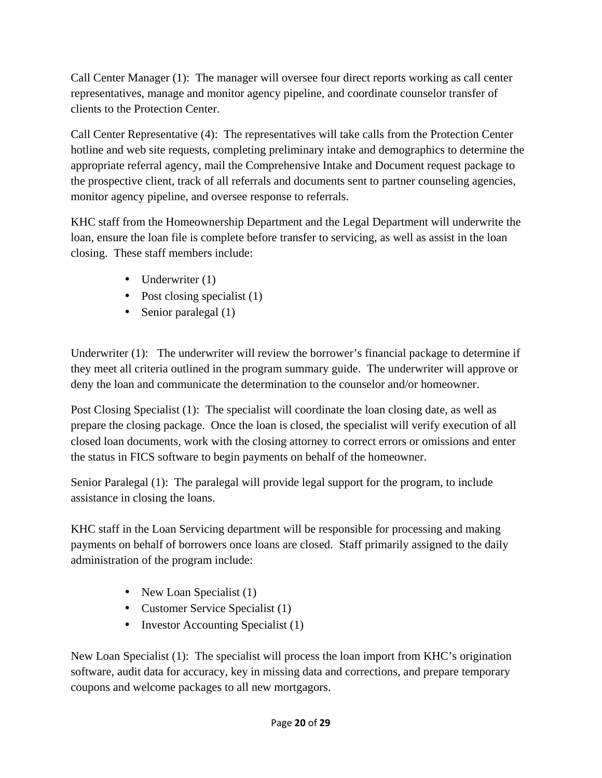Call Center Manager (1): The manager will oversee four direct reports working as call center representatives, manage and monitor agency pipeline, and coordinate counselor transfer of clients to the Protection Center.

Call Center Representative (4): The representatives will take calls from the Protection Center hotline and web site requests, completing preliminary intake and demographics to determine the appropriate referral agency, mail the Comprehensive Intake and Document request package to the prospective client, track of all referrals and documents sent to partner counseling agencies, monitor agency pipeline, and oversee response to referrals.

KHC staff from the Homeownership Department and the Legal Department will underwrite the loan, ensure the loan file is complete before transfer to servicing, as well as assist in the loan closing. These staff members include:

- Underwriter (1)
- Post closing specialist (1)
- Senior paralegal (1)

Underwriter (1): The underwriter will review the borrower's financial package to determine if they meet all criteria outlined in the program summary guide. The underwriter will approve or deny the loan and communicate the determination to the counselor and/or homeowner.

Post Closing Specialist (1): The specialist will coordinate the loan closing date, as well as prepare the closing package. Once the loan is closed, the specialist will verify execution of all closed loan documents, work with the closing attorney to correct errors or omissions and enter the status in FICS software to begin payments on behalf of the homeowner.

Senior Paralegal (1): The paralegal will provide legal support for the program, to include assistance in closing the loans.

KHC staff in the Loan Servicing department will be responsible for processing and making payments on behalf of borrowers once loans are closed. Staff primarily assigned to the daily administration of the program include:

- New Loan Specialist (1)
- Customer Service Specialist (1)
- Investor Accounting Specialist (1)

New Loan Specialist (1): The specialist will process the loan import from KHC's origination software, audit data for accuracy, key in missing data and corrections, and prepare temporary coupons and welcome packages to all new mortgagors.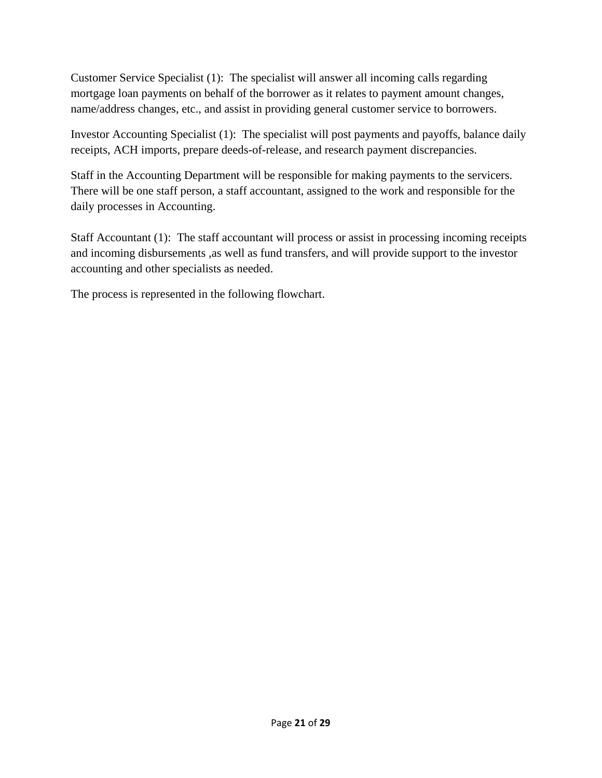Customer Service Specialist (1): The specialist will answer all incoming calls regarding mortgage loan payments on behalf of the borrower as it relates to payment amount changes, name/address changes, etc., and assist in providing general customer service to borrowers.

Investor Accounting Specialist (1): The specialist will post payments and payoffs, balance daily receipts, ACH imports, prepare deeds-of-release, and research payment discrepancies.

Staff in the Accounting Department will be responsible for making payments to the servicers. There will be one staff person, a staff accountant, assigned to the work and responsible for the daily processes in Accounting.

Staff Accountant (1): The staff accountant will process or assist in processing incoming receipts and incoming disbursements ,as well as fund transfers, and will provide support to the investor accounting and other specialists as needed.

The process is represented in the following flowchart.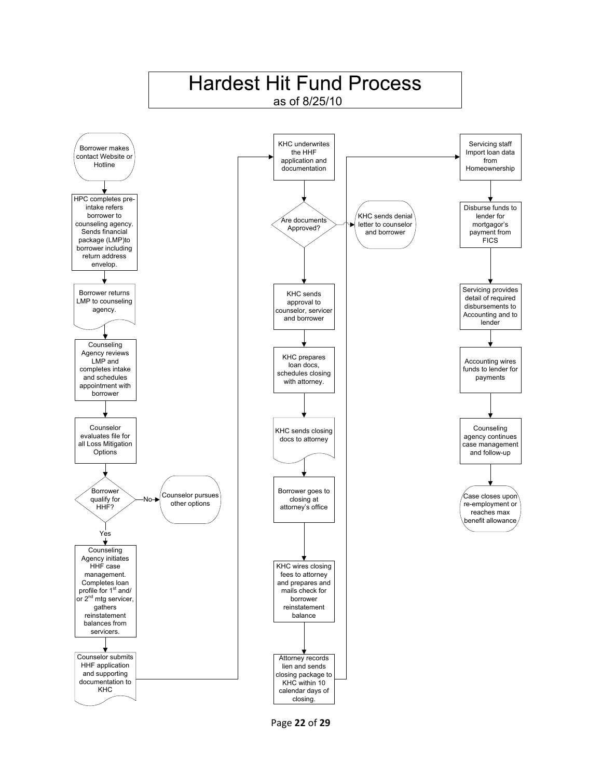

Page 22 of 29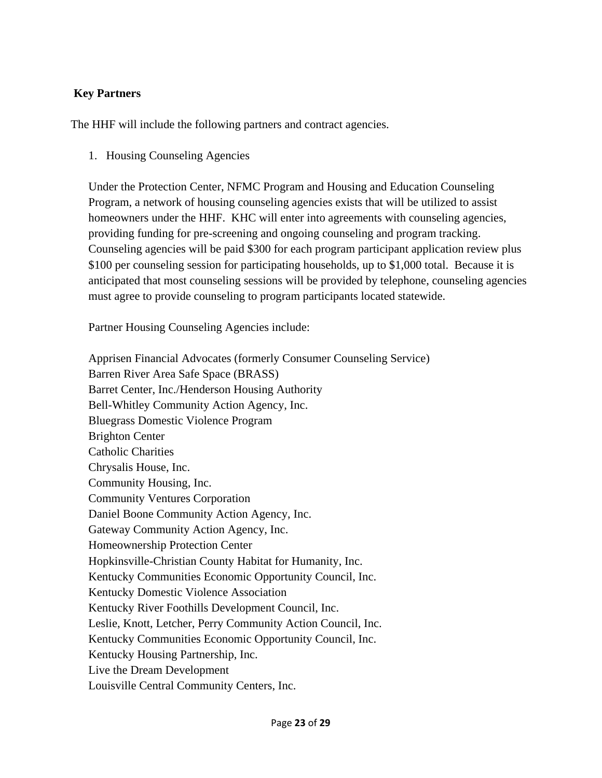### **Key Partners**

The HHF will include the following partners and contract agencies.

1. Housing Counseling Agencies

Under the Protection Center, NFMC Program and Housing and Education Counseling Program, a network of housing counseling agencies exists that will be utilized to assist homeowners under the HHF. KHC will enter into agreements with counseling agencies, providing funding for pre-screening and ongoing counseling and program tracking. Counseling agencies will be paid \$300 for each program participant application review plus \$100 per counseling session for participating households, up to \$1,000 total. Because it is anticipated that most counseling sessions will be provided by telephone, counseling agencies must agree to provide counseling to program participants located statewide.

Partner Housing Counseling Agencies include:

Apprisen Financial Advocates (formerly Consumer Counseling Service) Barren River Area Safe Space (BRASS) Barret Center, Inc./Henderson Housing Authority Bell-Whitley Community Action Agency, Inc. Bluegrass Domestic Violence Program Brighton Center Catholic Charities Chrysalis House, Inc. Community Housing, Inc. Community Ventures Corporation Daniel Boone Community Action Agency, Inc. Gateway Community Action Agency, Inc. Homeownership Protection Center Hopkinsville-Christian County Habitat for Humanity, Inc. Kentucky Communities Economic Opportunity Council, Inc. Kentucky Domestic Violence Association Kentucky River Foothills Development Council, Inc. Leslie, Knott, Letcher, Perry Community Action Council, Inc. Kentucky Communities Economic Opportunity Council, Inc. Kentucky Housing Partnership, Inc. Live the Dream Development Louisville Central Community Centers, Inc.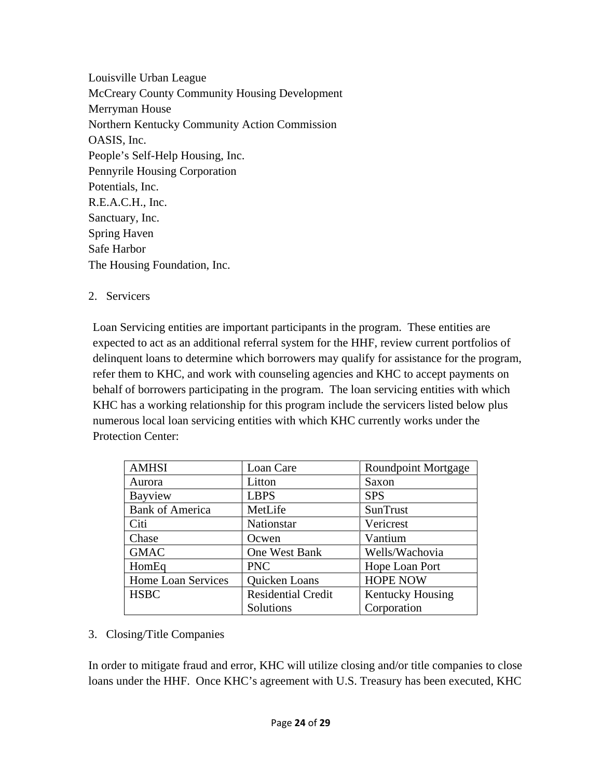Louisville Urban League McCreary County Community Housing Development Merryman House Northern Kentucky Community Action Commission OASIS, Inc. People's Self-Help Housing, Inc. Pennyrile Housing Corporation Potentials, Inc. R.E.A.C.H., Inc. Sanctuary, Inc. Spring Haven Safe Harbor The Housing Foundation, Inc.

#### 2. Servicers

Loan Servicing entities are important participants in the program. These entities are expected to act as an additional referral system for the HHF, review current portfolios of delinquent loans to determine which borrowers may qualify for assistance for the program, refer them to KHC, and work with counseling agencies and KHC to accept payments on behalf of borrowers participating in the program. The loan servicing entities with which KHC has a working relationship for this program include the servicers listed below plus numerous local loan servicing entities with which KHC currently works under the Protection Center:

| <b>AMHSI</b>           | Loan Care                 | <b>Roundpoint Mortgage</b> |
|------------------------|---------------------------|----------------------------|
| Aurora                 | Litton                    | Saxon                      |
| Bayview                | <b>LBPS</b>               | <b>SPS</b>                 |
| <b>Bank of America</b> | MetLife                   | SunTrust                   |
| Citi                   | Nationstar                | Vericrest                  |
| Chase                  | Ocwen                     | Vantium                    |
| <b>GMAC</b>            | One West Bank             | Wells/Wachovia             |
| HomEq                  | <b>PNC</b>                | Hope Loan Port             |
| Home Loan Services     | Quicken Loans             | <b>HOPE NOW</b>            |
| <b>HSBC</b>            | <b>Residential Credit</b> | <b>Kentucky Housing</b>    |
|                        | Solutions                 | Corporation                |

#### 3. Closing/Title Companies

In order to mitigate fraud and error, KHC will utilize closing and/or title companies to close loans under the HHF. Once KHC's agreement with U.S. Treasury has been executed, KHC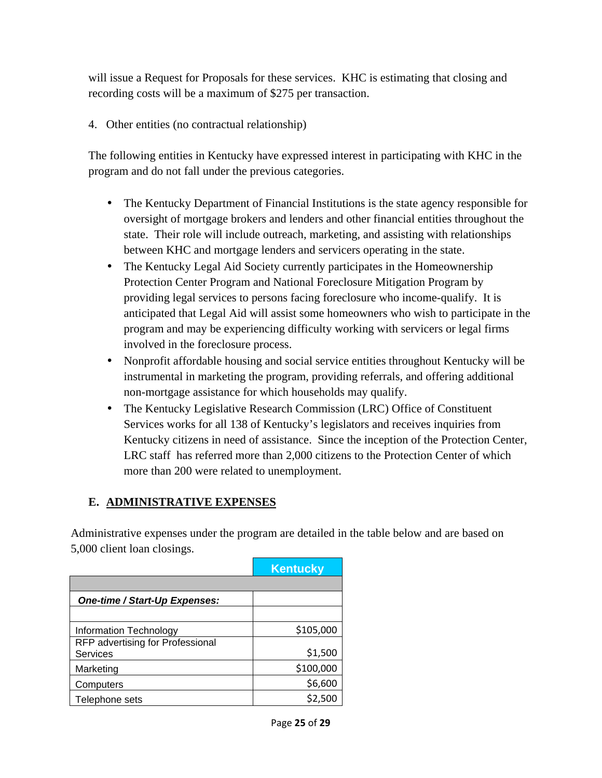will issue a Request for Proposals for these services. KHC is estimating that closing and recording costs will be a maximum of \$275 per transaction.

4. Other entities (no contractual relationship)

The following entities in Kentucky have expressed interest in participating with KHC in the program and do not fall under the previous categories.

- The Kentucky Department of Financial Institutions is the state agency responsible for oversight of mortgage brokers and lenders and other financial entities throughout the state. Their role will include outreach, marketing, and assisting with relationships between KHC and mortgage lenders and servicers operating in the state.
- The Kentucky Legal Aid Society currently participates in the Homeownership Protection Center Program and National Foreclosure Mitigation Program by providing legal services to persons facing foreclosure who income-qualify. It is anticipated that Legal Aid will assist some homeowners who wish to participate in the program and may be experiencing difficulty working with servicers or legal firms involved in the foreclosure process.
- Nonprofit affordable housing and social service entities throughout Kentucky will be instrumental in marketing the program, providing referrals, and offering additional non-mortgage assistance for which households may qualify.
- The Kentucky Legislative Research Commission (LRC) Office of Constituent Services works for all 138 of Kentucky's legislators and receives inquiries from Kentucky citizens in need of assistance. Since the inception of the Protection Center, LRC staff has referred more than 2,000 citizens to the Protection Center of which more than 200 were related to unemployment.

# **E. ADMINISTRATIVE EXPENSES**

Administrative expenses under the program are detailed in the table below and are based on 5,000 client loan closings.

|                                                     | <b>Kentucky</b> |
|-----------------------------------------------------|-----------------|
|                                                     |                 |
| One-time / Start-Up Expenses:                       |                 |
|                                                     |                 |
| Information Technology                              | \$105,000       |
| RFP advertising for Professional<br><b>Services</b> | \$1,500         |
| Marketing                                           | \$100,000       |
| Computers                                           | \$6,600         |
| Telephone sets                                      | \$2,500         |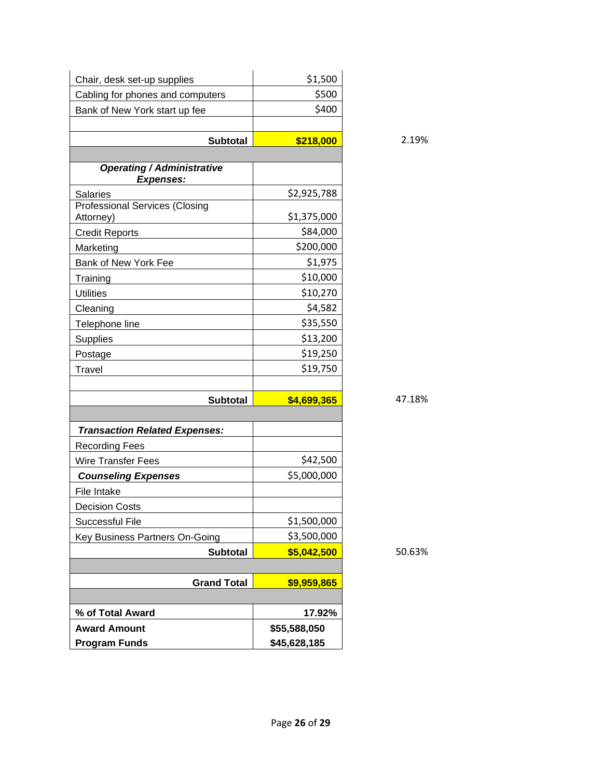| Chair, desk set-up supplies                        | \$1,500      |
|----------------------------------------------------|--------------|
| Cabling for phones and computers                   | \$500        |
| Bank of New York start up fee                      | \$400        |
|                                                    |              |
| <b>Subtotal</b>                                    | \$218,000    |
| <b>Operating / Administrative</b>                  |              |
| <b>Expenses:</b>                                   |              |
| <b>Salaries</b>                                    | \$2,925,788  |
| <b>Professional Services (Closing</b><br>Attorney) | \$1,375,000  |
| <b>Credit Reports</b>                              | \$84,000     |
| Marketing                                          | \$200,000    |
| Bank of New York Fee                               | \$1,975      |
| Training                                           | \$10,000     |
| <b>Utilities</b>                                   | \$10,270     |
| Cleaning                                           | \$4,582      |
| Telephone line                                     | \$35,550     |
| Supplies                                           | \$13,200     |
| Postage                                            | \$19,250     |
| <b>Travel</b>                                      | \$19,750     |
|                                                    |              |
| <b>Subtotal</b>                                    | \$4,699,365  |
|                                                    |              |
| <b>Transaction Related Expenses:</b>               |              |
| <b>Recording Fees</b>                              |              |
| Wire Transfer Fees                                 | \$42,500     |
| <b>Counseling Expenses</b>                         | \$5,000,000  |
| File Intake                                        |              |
| <b>Decision Costs</b>                              |              |
| <b>Successful File</b>                             | \$1,500,000  |
| Key Business Partners On-Going                     | \$3,500,000  |
| <b>Subtotal</b>                                    | \$5,042,500  |
|                                                    |              |
| <b>Grand Total</b>                                 | \$9,959,865  |
| % of Total Award                                   | 17.92%       |
| <b>Award Amount</b>                                | \$55,588,050 |
| <b>Program Funds</b>                               | \$45,628,185 |

 **Subtotal \$218,000** 2.19%

 **Subtotal \$5,042,500** 50.63%

 **Subtotal \$4,699,365** 47.18%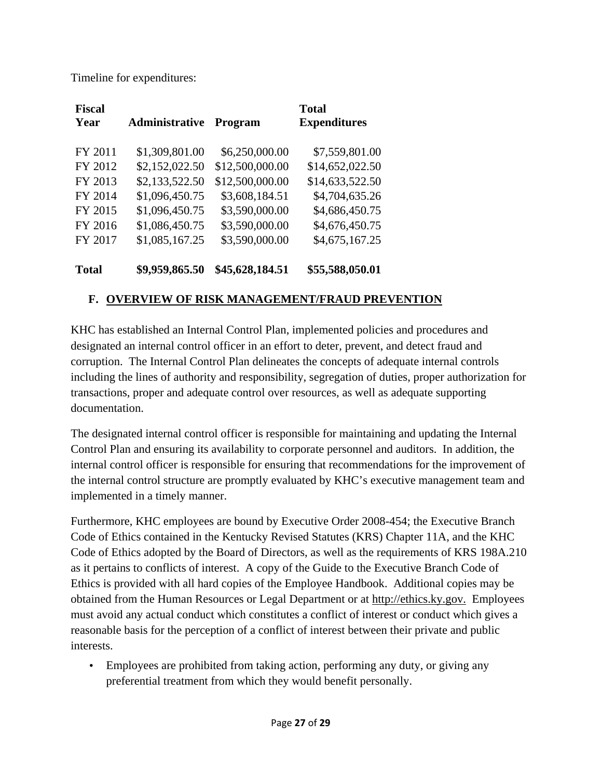Timeline for expenditures:

| <b>Fiscal</b><br>Year | Administrative | <b>Program</b>  | <b>Total</b><br><b>Expenditures</b> |
|-----------------------|----------------|-----------------|-------------------------------------|
| FY 2011               | \$1,309,801.00 | \$6,250,000.00  | \$7,559,801.00                      |
| FY 2012               | \$2,152,022.50 | \$12,500,000.00 | \$14,652,022.50                     |
| FY 2013               | \$2,133,522.50 | \$12,500,000.00 | \$14,633,522.50                     |
| FY 2014               | \$1,096,450.75 | \$3,608,184.51  | \$4,704,635.26                      |
| FY 2015               | \$1,096,450.75 | \$3,590,000.00  | \$4,686,450.75                      |
| FY 2016               | \$1,086,450.75 | \$3,590,000.00  | \$4,676,450.75                      |
| FY 2017               | \$1,085,167.25 | \$3,590,000.00  | \$4,675,167.25                      |
| Total                 | \$9,959,865.50 | \$45,628,184.51 | \$55,588,050.01                     |

# **F. OVERVIEW OF RISK MANAGEMENT/FRAUD PREVENTION**

KHC has established an Internal Control Plan, implemented policies and procedures and designated an internal control officer in an effort to deter, prevent, and detect fraud and corruption. The Internal Control Plan delineates the concepts of adequate internal controls including the lines of authority and responsibility, segregation of duties, proper authorization for transactions, proper and adequate control over resources, as well as adequate supporting documentation.

The designated internal control officer is responsible for maintaining and updating the Internal Control Plan and ensuring its availability to corporate personnel and auditors. In addition, the internal control officer is responsible for ensuring that recommendations for the improvement of the internal control structure are promptly evaluated by KHC's executive management team and implemented in a timely manner.

Furthermore, KHC employees are bound by Executive Order 2008-454; the Executive Branch Code of Ethics contained in the Kentucky Revised Statutes (KRS) Chapter 11A, and the KHC Code of Ethics adopted by the Board of Directors, as well as the requirements of KRS 198A.210 as it pertains to conflicts of interest. A copy of the Guide to the Executive Branch Code of Ethics is provided with all hard copies of the Employee Handbook. Additional copies may be obtained from the Human Resources or Legal Department or at http://ethics.ky.gov. Employees must avoid any actual conduct which constitutes a conflict of interest or conduct which gives a reasonable basis for the perception of a conflict of interest between their private and public interests.

• Employees are prohibited from taking action, performing any duty, or giving any preferential treatment from which they would benefit personally.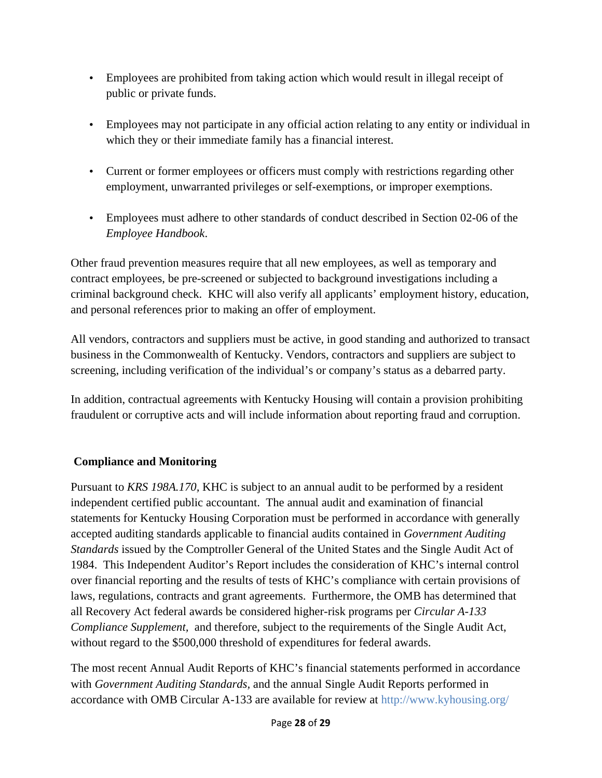- Employees are prohibited from taking action which would result in illegal receipt of public or private funds.
- Employees may not participate in any official action relating to any entity or individual in which they or their immediate family has a financial interest.
- Current or former employees or officers must comply with restrictions regarding other employment, unwarranted privileges or self-exemptions, or improper exemptions.
- Employees must adhere to other standards of conduct described in Section 02-06 of the *Employee Handbook*.

Other fraud prevention measures require that all new employees, as well as temporary and contract employees, be pre-screened or subjected to background investigations including a criminal background check. KHC will also verify all applicants' employment history, education, and personal references prior to making an offer of employment.

All vendors, contractors and suppliers must be active, in good standing and authorized to transact business in the Commonwealth of Kentucky. Vendors, contractors and suppliers are subject to screening, including verification of the individual's or company's status as a debarred party.

In addition, contractual agreements with Kentucky Housing will contain a provision prohibiting fraudulent or corruptive acts and will include information about reporting fraud and corruption.

## **Compliance and Monitoring**

Pursuant to *KRS 198A.170,* KHC is subject to an annual audit to be performed by a resident independent certified public accountant. The annual audit and examination of financial statements for Kentucky Housing Corporation must be performed in accordance with generally accepted auditing standards applicable to financial audits contained in *Government Auditing Standards* issued by the Comptroller General of the United States and the Single Audit Act of 1984. This Independent Auditor's Report includes the consideration of KHC's internal control over financial reporting and the results of tests of KHC's compliance with certain provisions of laws, regulations, contracts and grant agreements. Furthermore, the OMB has determined that all Recovery Act federal awards be considered higher-risk programs per *Circular A-133 Compliance Supplement,* and therefore, subject to the requirements of the Single Audit Act, without regard to the \$500,000 threshold of expenditures for federal awards.

The most recent Annual Audit Reports of KHC's financial statements performed in accordance with *Government Auditing Standards,* and the annual Single Audit Reports performed in accordance with OMB Circular A-133 are available for review at http://www.kyhousing.org/